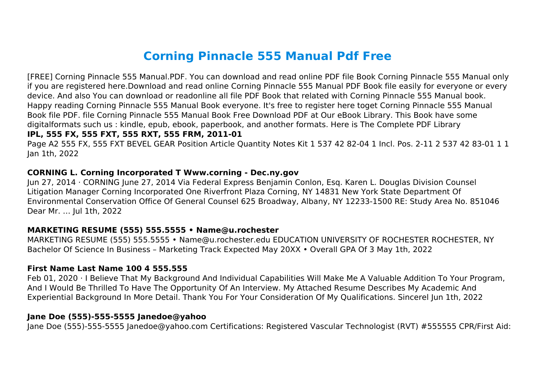# **Corning Pinnacle 555 Manual Pdf Free**

[FREE] Corning Pinnacle 555 Manual.PDF. You can download and read online PDF file Book Corning Pinnacle 555 Manual only if you are registered here.Download and read online Corning Pinnacle 555 Manual PDF Book file easily for everyone or every device. And also You can download or readonline all file PDF Book that related with Corning Pinnacle 555 Manual book. Happy reading Corning Pinnacle 555 Manual Book everyone. It's free to register here toget Corning Pinnacle 555 Manual Book file PDF. file Corning Pinnacle 555 Manual Book Free Download PDF at Our eBook Library. This Book have some digitalformats such us : kindle, epub, ebook, paperbook, and another formats. Here is The Complete PDF Library

## **IPL, 555 FX, 555 FXT, 555 RXT, 555 FRM, 2011-01**

Page A2 555 FX, 555 FXT BEVEL GEAR Position Article Quantity Notes Kit 1 537 42 82-04 1 Incl. Pos. 2-11 2 537 42 83-01 1 1 Jan 1th, 2022

#### **CORNING L. Corning Incorporated T Www.corning - Dec.ny.gov**

Jun 27, 2014 · CORNING June 27, 2014 Via Federal Express Benjamin Conlon, Esq. Karen L. Douglas Division Counsel Litigation Manager Corning Incorporated One Riverfront Plaza Corning, NY 14831 New York State Department Of Environmental Conservation Office Of General Counsel 625 Broadway, Albany, NY 12233-1500 RE: Study Area No. 851046 Dear Mr. … Jul 1th, 2022

#### **MARKETING RESUME (555) 555.5555 • Name@u.rochester**

MARKETING RESUME (555) 555.5555 • Name@u.rochester.edu EDUCATION UNIVERSITY OF ROCHESTER ROCHESTER, NY Bachelor Of Science In Business – Marketing Track Expected May 20XX • Overall GPA Of 3 May 1th, 2022

#### **First Name Last Name 100 4 555.555**

Feb 01, 2020 · I Believe That My Background And Individual Capabilities Will Make Me A Valuable Addition To Your Program, And I Would Be Thrilled To Have The Opportunity Of An Interview. My Attached Resume Describes My Academic And Experiential Background In More Detail. Thank You For Your Consideration Of My Qualifications. Sincerel Jun 1th, 2022

#### **Jane Doe (555)-555-5555 Janedoe@yahoo**

Jane Doe (555)-555-5555 Janedoe@yahoo.com Certifications: Registered Vascular Technologist (RVT) #555555 CPR/First Aid: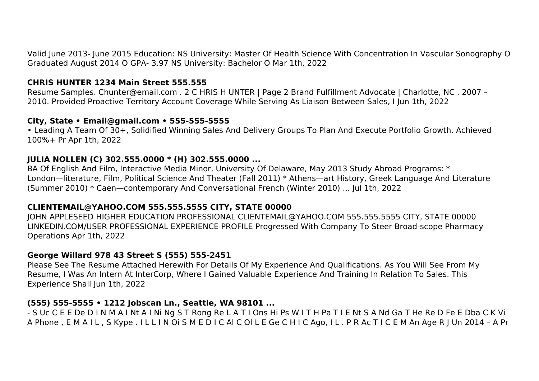Valid June 2013- June 2015 Education: NS University: Master Of Health Science With Concentration In Vascular Sonography O Graduated August 2014 O GPA- 3.97 NS University: Bachelor O Mar 1th, 2022

## **CHRIS HUNTER 1234 Main Street 555.555**

Resume Samples. Chunter@email.com . 2 C HRIS H UNTER | Page 2 Brand Fulfillment Advocate | Charlotte, NC . 2007 – 2010. Provided Proactive Territory Account Coverage While Serving As Liaison Between Sales, I Jun 1th, 2022

#### **City, State • Email@gmail.com • 555-555-5555**

• Leading A Team Of 30+, Solidified Winning Sales And Delivery Groups To Plan And Execute Portfolio Growth. Achieved 100%+ Pr Apr 1th, 2022

#### **JULIA NOLLEN (C) 302.555.0000 \* (H) 302.555.0000 ...**

BA Of English And Film, Interactive Media Minor, University Of Delaware, May 2013 Study Abroad Programs: \* London—literature, Film, Political Science And Theater (Fall 2011) \* Athens—art History, Greek Language And Literature (Summer 2010) \* Caen—contemporary And Conversational French (Winter 2010) ... Jul 1th, 2022

#### **CLIENTEMAIL@YAHOO.COM 555.555.5555 CITY, STATE 00000**

JOHN APPLESEED HIGHER EDUCATION PROFESSIONAL CLIENTEMAIL@YAHOO.COM 555.555.5555 CITY, STATE 00000 LINKEDIN.COM/USER PROFESSIONAL EXPERIENCE PROFILE Progressed With Company To Steer Broad-scope Pharmacy Operations Apr 1th, 2022

#### **George Willard 978 43 Street S (555) 555-2451**

Please See The Resume Attached Herewith For Details Of My Experience And Qualifications. As You Will See From My Resume, I Was An Intern At InterCorp, Where I Gained Valuable Experience And Training In Relation To Sales. This Experience Shall Jun 1th, 2022

#### **(555) 555-5555 • 1212 Jobscan Ln., Seattle, WA 98101 ...**

- S Uc C E E De D I N M A I Nt A I Ni Ng S T Rong Re L A T I Ons Hi Ps W I T H Pa T I E Nt S A Nd Ga T He Re D Fe E Dba C K Vi A Phone , E M A I L , S Kype . I L L I N Oi S M E D I C Al C Ol L E Ge C H I C Ago, I L . P R Ac T I C E M An Age R J Un 2014 – A Pr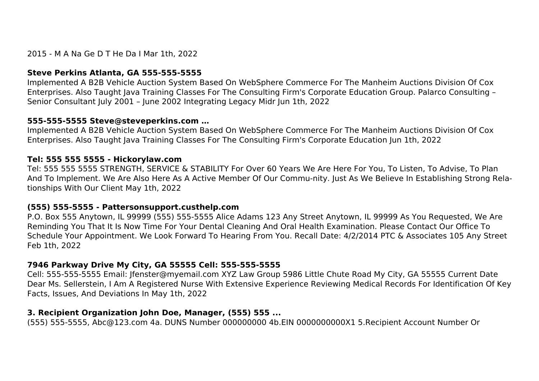2015 - M A Na Ge D T He Da I Mar 1th, 2022

## **Steve Perkins Atlanta, GA 555-555-5555**

Implemented A B2B Vehicle Auction System Based On WebSphere Commerce For The Manheim Auctions Division Of Cox Enterprises. Also Taught Java Training Classes For The Consulting Firm's Corporate Education Group. Palarco Consulting – Senior Consultant July 2001 – June 2002 Integrating Legacy Midr Jun 1th, 2022

## **555-555-5555 Steve@steveperkins.com …**

Implemented A B2B Vehicle Auction System Based On WebSphere Commerce For The Manheim Auctions Division Of Cox Enterprises. Also Taught Java Training Classes For The Consulting Firm's Corporate Education Jun 1th, 2022

## **Tel: 555 555 5555 - Hickorylaw.com**

Tel: 555 555 5555 STRENGTH, SERVICE & STABILITY For Over 60 Years We Are Here For You, To Listen, To Advise, To Plan And To Implement. We Are Also Here As A Active Member Of Our Commu-nity. Just As We Believe In Establishing Strong Relationships With Our Client May 1th, 2022

## **(555) 555-5555 - Pattersonsupport.custhelp.com**

P.O. Box 555 Anytown, IL 99999 (555) 555-5555 Alice Adams 123 Any Street Anytown, IL 99999 As You Requested, We Are Reminding You That It Is Now Time For Your Dental Cleaning And Oral Health Examination. Please Contact Our Office To Schedule Your Appointment. We Look Forward To Hearing From You. Recall Date: 4/2/2014 PTC & Associates 105 Any Street Feb 1th, 2022

## **7946 Parkway Drive My City, GA 55555 Cell: 555-555-5555**

Cell: 555-555-5555 Email: Jfenster@myemail.com XYZ Law Group 5986 Little Chute Road My City, GA 55555 Current Date Dear Ms. Sellerstein, I Am A Registered Nurse With Extensive Experience Reviewing Medical Records For Identification Of Key Facts, Issues, And Deviations In May 1th, 2022

## **3. Recipient Organization John Doe, Manager, (555) 555 ...**

(555) 555-5555, Abc@123.com 4a. DUNS Number 000000000 4b.EIN 0000000000X1 5.Recipient Account Number Or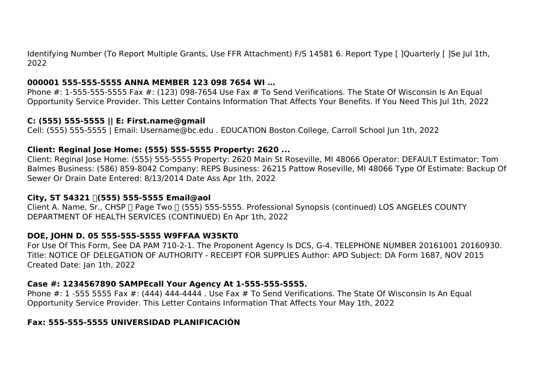Identifying Number (To Report Multiple Grants, Use FFR Attachment) F/S 14581 6. Report Type [ ]Quarterly [ ]Se Jul 1th, 2022

#### **000001 555-555-5555 ANNA MEMBER 123 098 7654 WI …**

Phone #: 1-555-555-5555 Fax #: (123) 098-7654 Use Fax # To Send Verifications. The State Of Wisconsin Is An Equal Opportunity Service Provider. This Letter Contains Information That Affects Your Benefits. If You Need This Jul 1th, 2022

#### **C: (555) 555-5555 || E: First.name@gmail**

Cell: (555) 555-5555 | Email: Username@bc.edu . EDUCATION Boston College, Carroll School Jun 1th, 2022

## **Client: Reginal Jose Home: (555) 555-5555 Property: 2620 ...**

Client: Reginal Jose Home: (555) 555-5555 Property: 2620 Main St Roseville, MI 48066 Operator: DEFAULT Estimator: Tom Balmes Business: (586) 859-8042 Company: REPS Business: 26215 Pattow Roseville, MI 48066 Type Of Estimate: Backup Of Sewer Or Drain Date Entered: 8/13/2014 Date Ass Apr 1th, 2022

## **City, ST 54321 │(555) 555-5555 Email@aol**

Client A. Name, Sr., CHSP ∏ Page Two ∏ (555) 555-5555. Professional Synopsis (continued) LOS ANGELES COUNTY DEPARTMENT OF HEALTH SERVICES (CONTINUED) En Apr 1th, 2022

## **DOE, JOHN D. 05 555-555-5555 W9FFAA W35KT0**

For Use Of This Form, See DA PAM 710-2-1. The Proponent Agency Is DCS, G-4. TELEPHONE NUMBER 20161001 20160930. Title: NOTICE OF DELEGATION OF AUTHORITY - RECEIPT FOR SUPPLIES Author: APD Subject: DA Form 1687, NOV 2015 Created Date: Jan 1th, 2022

## **Case #: 1234567890 SAMPEcall Your Agency At 1-555-555-5555.**

Phone #: 1 -555 5555 Fax #: (444) 444-4444 . Use Fax # To Send Verifications. The State Of Wisconsin Is An Equal Opportunity Service Provider. This Letter Contains Information That Affects Your May 1th, 2022

## **Fax: 555-555-5555 UNIVERSIDAD PLANIFICACIÓN**